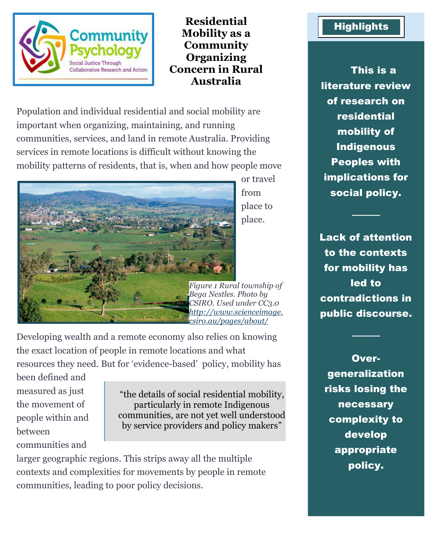

## **Residential Mobility as a Community Organizing Concern in Rural Australia**

Population and individual residential and social mobility are important when organizing, maintaining, and running communities, services, and land in remote Australia. Providing services in remote locations is difficult without knowing the mobility patterns of residents, that is, when and how people move



or travel from place to place.

*Figure 1 Rural township of Bega Nestles. Photo by CSIRO. Used under CC3.0 [http://www.scienceimage.](http://www.scienceimage.csiro.au/pages/about/) [csiro.au/pages/about/](http://www.scienceimage.csiro.au/pages/about/)*

Developing wealth and a remote economy also relies on knowing the exact location of people in remote locations and what resources they need. But for 'evidence-based' policy, mobility has

been defined and measured as just the movement of people within and between communities and

"the details of social residential mobility, particularly in remote Indigenous communities, are not yet well understood by service providers and policy makers"

larger geographic regions. This strips away all the multiple contexts and complexities for movements by people in remote communities, leading to poor policy decisions.

## **Highlights**

This is a literature review of research on residential mobility of Indigenous Peoples with implications for social policy.

Lack of attention to the contexts for mobility has led to contradictions in public discourse.

────

────

Overgeneralization risks losing the necessary complexity to develop appropriate policy.